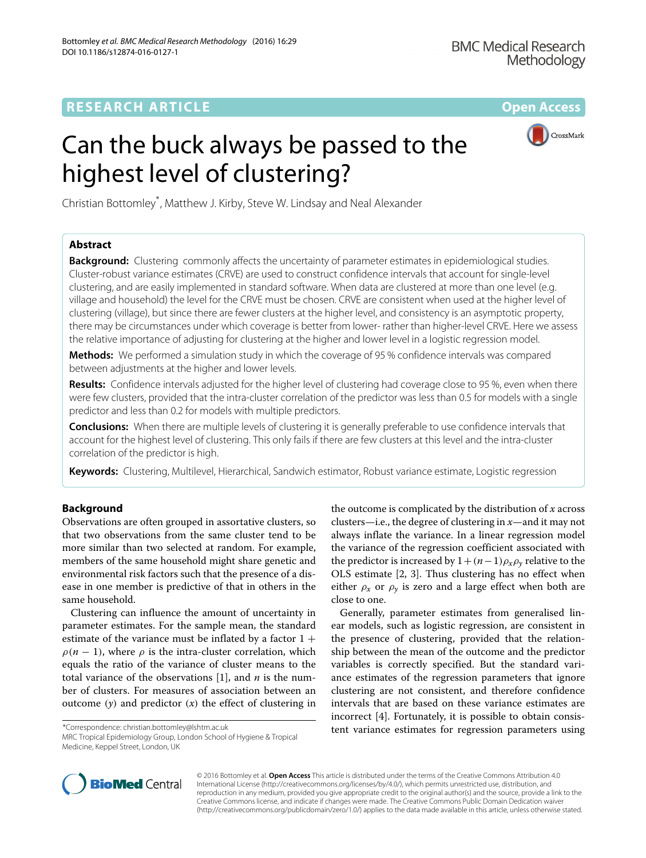CrossMark

# Can the buck always be passed to the highest level of clustering?

Christian Bottomley\* , Matthew J. Kirby, Steve W. Lindsay and Neal Alexander

# **Abstract**

**Background:** Clustering commonly affects the uncertainty of parameter estimates in epidemiological studies. Cluster-robust variance estimates (CRVE) are used to construct confidence intervals that account for single-level clustering, and are easily implemented in standard software. When data are clustered at more than one level (e.g. village and household) the level for the CRVE must be chosen. CRVE are consistent when used at the higher level of clustering (village), but since there are fewer clusters at the higher level, and consistency is an asymptotic property, there may be circumstances under which coverage is better from lower- rather than higher-level CRVE. Here we assess the relative importance of adjusting for clustering at the higher and lower level in a logistic regression model.

**Methods:** We performed a simulation study in which the coverage of 95 % confidence intervals was compared between adjustments at the higher and lower levels.

**Results:** Confidence intervals adjusted for the higher level of clustering had coverage close to 95 %, even when there were few clusters, provided that the intra-cluster correlation of the predictor was less than 0.5 for models with a single predictor and less than 0.2 for models with multiple predictors.

**Conclusions:** When there are multiple levels of clustering it is generally preferable to use confidence intervals that account for the highest level of clustering. This only fails if there are few clusters at this level and the intra-cluster correlation of the predictor is high.

**Keywords:** Clustering, Multilevel, Hierarchical, Sandwich estimator, Robust variance estimate, Logistic regression

# **Background**

Observations are often grouped in assortative clusters, so that two observations from the same cluster tend to be more similar than two selected at random. For example, members of the same household might share genetic and environmental risk factors such that the presence of a disease in one member is predictive of that in others in the same household.

Clustering can influence the amount of uncertainty in parameter estimates. For the sample mean, the standard estimate of the variance must be inflated by a factor  $1 +$  $\rho(n-1)$ , where  $\rho$  is the intra-cluster correlation, which equals the ratio of the variance of cluster means to the total variance of the observations [\[1\]](#page-6-0), and *n* is the number of clusters. For measures of association between an outcome (*y*) and predictor (*x*) the effect of clustering in

\*Correspondence: [christian.bottomley@lshtm.ac.uk](mailto: christian.bottomley@lshtm.ac.uk)

MRC Tropical Epidemiology Group, London School of Hygiene & Tropical Medicine, Keppel Street, London, UK

the outcome is complicated by the distribution of *x* across clusters—i.e., the degree of clustering in *x*—and it may not always inflate the variance. In a linear regression model the variance of the regression coefficient associated with the predictor is increased by  $1+(n-1)\rho_x\rho_y$  relative to the OLS estimate [\[2,](#page-6-1) [3\]](#page-6-2). Thus clustering has no effect when either  $\rho_x$  or  $\rho_y$  is zero and a large effect when both are close to one.

Generally, parameter estimates from generalised linear models, such as logistic regression, are consistent in the presence of clustering, provided that the relationship between the mean of the outcome and the predictor variables is correctly specified. But the standard variance estimates of the regression parameters that ignore clustering are not consistent, and therefore confidence intervals that are based on these variance estimates are incorrect [\[4\]](#page-6-3). Fortunately, it is possible to obtain consistent variance estimates for regression parameters using



© 2016 Bottomley et al. **Open Access** This article is distributed under the terms of the Creative Commons Attribution 4.0 International License [\(http://creativecommons.org/licenses/by/4.0/\)](http://creativecommons.org/licenses/by/4.0/), which permits unrestricted use, distribution, and reproduction in any medium, provided you give appropriate credit to the original author(s) and the source, provide a link to the Creative Commons license, and indicate if changes were made. The Creative Commons Public Domain Dedication waiver [\(http://creativecommons.org/publicdomain/zero/1.0/\)](http://creativecommons.org/publicdomain/zero/1.0/) applies to the data made available in this article, unless otherwise stated.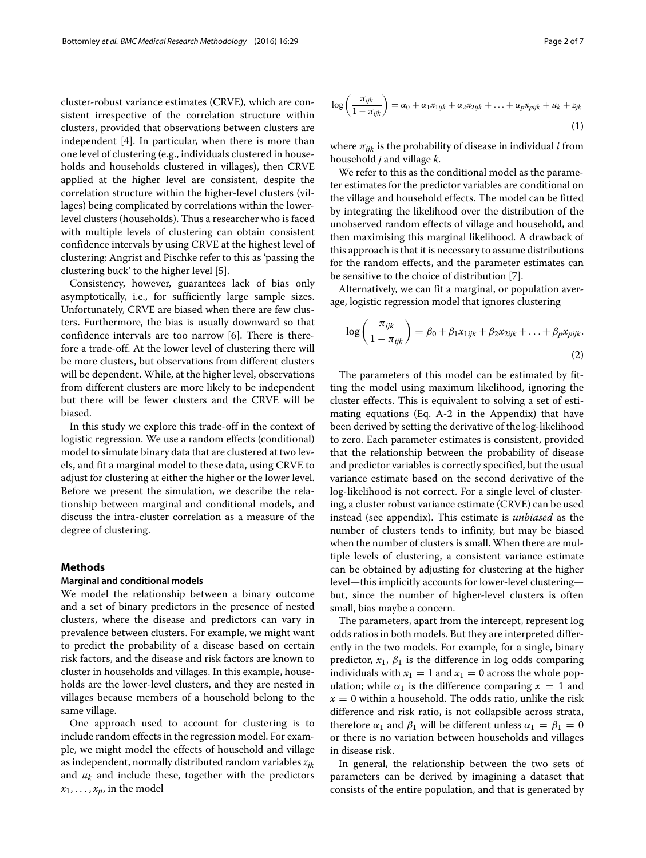cluster-robust variance estimates (CRVE), which are consistent irrespective of the correlation structure within clusters, provided that observations between clusters are independent [\[4\]](#page-6-3). In particular, when there is more than one level of clustering (e.g., individuals clustered in households and households clustered in villages), then CRVE applied at the higher level are consistent, despite the correlation structure within the higher-level clusters (villages) being complicated by correlations within the lowerlevel clusters (households). Thus a researcher who is faced with multiple levels of clustering can obtain consistent confidence intervals by using CRVE at the highest level of clustering: Angrist and Pischke refer to this as 'passing the clustering buck' to the higher level [\[5\]](#page-6-4).

Consistency, however, guarantees lack of bias only asymptotically, i.e., for sufficiently large sample sizes. Unfortunately, CRVE are biased when there are few clusters. Furthermore, the bias is usually downward so that confidence intervals are too narrow [\[6\]](#page-6-5). There is therefore a trade-off. At the lower level of clustering there will be more clusters, but observations from different clusters will be dependent. While, at the higher level, observations from different clusters are more likely to be independent but there will be fewer clusters and the CRVE will be biased.

In this study we explore this trade-off in the context of logistic regression. We use a random effects (conditional) model to simulate binary data that are clustered at two levels, and fit a marginal model to these data, using CRVE to adjust for clustering at either the higher or the lower level. Before we present the simulation, we describe the relationship between marginal and conditional models, and discuss the intra-cluster correlation as a measure of the degree of clustering.

#### **Methods**

#### **Marginal and conditional models**

We model the relationship between a binary outcome and a set of binary predictors in the presence of nested clusters, where the disease and predictors can vary in prevalence between clusters. For example, we might want to predict the probability of a disease based on certain risk factors, and the disease and risk factors are known to cluster in households and villages. In this example, households are the lower-level clusters, and they are nested in villages because members of a household belong to the same village.

One approach used to account for clustering is to include random effects in the regression model. For example, we might model the effects of household and village as independent, normally distributed random variables *zjk* and *uk* and include these, together with the predictors  $x_1, \ldots, x_p$ , in the model

$$
\log\left(\frac{\pi_{ijk}}{1-\pi_{ijk}}\right) = \alpha_0 + \alpha_1 x_{1ijk} + \alpha_2 x_{2ijk} + \ldots + \alpha_p x_{piik} + u_k + z_{jk}
$$
\n(1)

where  $\pi_{ijk}$  is the probability of disease in individual *i* from household *j* and village *k*.

We refer to this as the conditional model as the parameter estimates for the predictor variables are conditional on the village and household effects. The model can be fitted by integrating the likelihood over the distribution of the unobserved random effects of village and household, and then maximising this marginal likelihood. A drawback of this approach is that it is necessary to assume distributions for the random effects, and the parameter estimates can be sensitive to the choice of distribution [\[7\]](#page-6-6).

Alternatively, we can fit a marginal, or population average, logistic regression model that ignores clustering

$$
\log\left(\frac{\pi_{ijk}}{1-\pi_{ijk}}\right) = \beta_0 + \beta_1 x_{1ijk} + \beta_2 x_{2ijk} + \ldots + \beta_p x_{piik}.
$$
\n(2)

The parameters of this model can be estimated by fitting the model using maximum likelihood, ignoring the cluster effects. This is equivalent to solving a set of estimating equations (Eq. A-2 in the Appendix) that have been derived by setting the derivative of the log-likelihood to zero. Each parameter estimates is consistent, provided that the relationship between the probability of disease and predictor variables is correctly specified, but the usual variance estimate based on the second derivative of the log-likelihood is not correct. For a single level of clustering, a cluster robust variance estimate (CRVE) can be used instead (see appendix). This estimate is *unbiased* as the number of clusters tends to infinity, but may be biased when the number of clusters is small. When there are multiple levels of clustering, a consistent variance estimate can be obtained by adjusting for clustering at the higher level—this implicitly accounts for lower-level clustering but, since the number of higher-level clusters is often small, bias maybe a concern.

The parameters, apart from the intercept, represent log odds ratios in both models. But they are interpreted differently in the two models. For example, for a single, binary predictor,  $x_1$ ,  $\beta_1$  is the difference in log odds comparing individuals with  $x_1 = 1$  and  $x_1 = 0$  across the whole population; while  $\alpha_1$  is the difference comparing  $x = 1$  and  $x = 0$  within a household. The odds ratio, unlike the risk difference and risk ratio, is not collapsible across strata, therefore  $\alpha_1$  and  $\beta_1$  will be different unless  $\alpha_1 = \beta_1 = 0$ or there is no variation between households and villages in disease risk.

In general, the relationship between the two sets of parameters can be derived by imagining a dataset that consists of the entire population, and that is generated by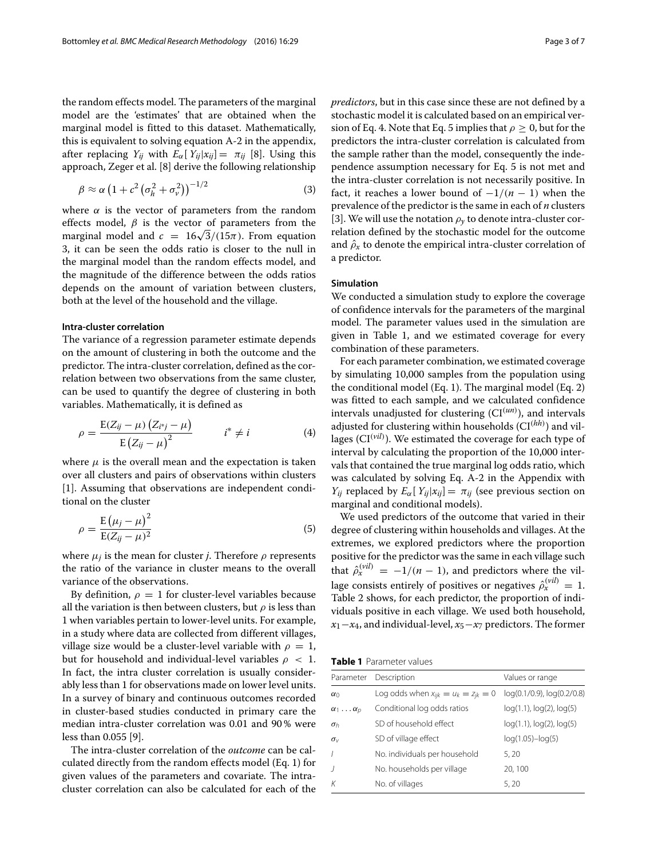the random effects model. The parameters of the marginal model are the 'estimates' that are obtained when the marginal model is fitted to this dataset. Mathematically, this is equivalent to solving equation A-2 in the appendix, after replacing  $Y_{ii}$  with  $E_{\alpha}[Y_{ii}|x_{ii}] = \pi_{ii}$  [\[8\]](#page-6-7). Using this approach, Zeger et al. [\[8\]](#page-6-7) derive the following relationship

$$
\beta \approx \alpha \left(1 + c^2 \left(\sigma_h^2 + \sigma_v^2\right)\right)^{-1/2} \tag{3}
$$

where  $\alpha$  is the vector of parameters from the random effects model,  $\beta$  is the vector of parameters from the marginal model and  $c = 16\sqrt{3}/(15\pi)$ . From equation 3, it can be seen the odds ratio is closer to the null in the marginal model than the random effects model, and the magnitude of the difference between the odds ratios depends on the amount of variation between clusters, both at the level of the household and the village.

### **Intra-cluster correlation**

The variance of a regression parameter estimate depends on the amount of clustering in both the outcome and the predictor. The intra-cluster correlation, defined as the correlation between two observations from the same cluster, can be used to quantify the degree of clustering in both variables. Mathematically, it is defined as

$$
\rho = \frac{E(Z_{ij} - \mu) (Z_{i^*j} - \mu)}{E (Z_{ij} - \mu)^2} \qquad i^* \neq i
$$
 (4)

where  $\mu$  is the overall mean and the expectation is taken over all clusters and pairs of observations within clusters [\[1\]](#page-6-0). Assuming that observations are independent conditional on the cluster

$$
\rho = \frac{E(\mu_j - \mu)^2}{E(Z_{ij} - \mu)^2} \tag{5}
$$

where  $\mu_i$  is the mean for cluster *j*. Therefore  $\rho$  represents the ratio of the variance in cluster means to the overall variance of the observations.

By definition,  $\rho = 1$  for cluster-level variables because all the variation is then between clusters, but  $\rho$  is less than 1 when variables pertain to lower-level units. For example, in a study where data are collected from different villages, village size would be a cluster-level variable with  $\rho = 1$ , but for household and individual-level variables  $\rho < 1$ . In fact, the intra cluster correlation is usually considerably less than 1 for observations made on lower level units. In a survey of binary and continuous outcomes recorded in cluster-based studies conducted in primary care the median intra-cluster correlation was 0.01 and 90 % were less than 0.055 [\[9\]](#page-6-8).

The intra-cluster correlation of the *outcome* can be calculated directly from the random effects model (Eq. 1) for given values of the parameters and covariate. The intracluster correlation can also be calculated for each of the *predictors*, but in this case since these are not defined by a stochastic model it is calculated based on an empirical version of Eq. 4. Note that Eq. 5 implies that  $\rho \geq 0$ , but for the predictors the intra-cluster correlation is calculated from the sample rather than the model, consequently the independence assumption necessary for Eq. 5 is not met and the intra-cluster correlation is not necessarily positive. In fact, it reaches a lower bound of  $-1/(n - 1)$  when the prevalence of the predictor is the same in each of *n* clusters [\[3\]](#page-6-2). We will use the notation  $\rho_y$  to denote intra-cluster correlation defined by the stochastic model for the outcome and  $\hat{\rho}_x$  to denote the empirical intra-cluster correlation of a predictor.

## **Simulation**

We conducted a simulation study to explore the coverage of confidence intervals for the parameters of the marginal model. The parameter values used in the simulation are given in Table [1,](#page-2-0) and we estimated coverage for every combination of these parameters.

For each parameter combination, we estimated coverage by simulating 10,000 samples from the population using the conditional model (Eq. 1). The marginal model (Eq. 2) was fitted to each sample, and we calculated confidence intervals unadjusted for clustering (CI(*un*) ), and intervals adjusted for clustering within households (CI<sup>(hh)</sup>) and villages (CI<sup>(vil)</sup>). We estimated the coverage for each type of interval by calculating the proportion of the 10,000 intervals that contained the true marginal log odds ratio, which was calculated by solving Eq. A-2 in the Appendix with *Y<sub>ij</sub>* replaced by  $E_{\alpha}[Y_{ij}|x_{ij}] = \pi_{ij}$  (see previous section on marginal and conditional models).

We used predictors of the outcome that varied in their degree of clustering within households and villages. At the extremes, we explored predictors where the proportion positive for the predictor was the same in each village such that  $\hat{\rho}_x^{(vil)} = -1/(n-1)$ , and predictors where the village consists entirely of positives or negatives  $\hat{\rho}_x^{(vil)} = 1$ . Table [2](#page-3-0) shows, for each predictor, the proportion of individuals positive in each village. We used both household, *x*1−*x*4, and individual-level, *x*5−*x*<sup>7</sup> predictors. The former

**Table 1** Parameter values

<span id="page-2-0"></span>

|                            | Parameter Description                      | Values or range                  |
|----------------------------|--------------------------------------------|----------------------------------|
| $\alpha_0$                 | Log odds when $x_{ijk} = u_k = z_{jk} = 0$ | log(0.1/0.9), log(0.2/0.8)       |
| $\alpha_1 \ldots \alpha_p$ | Conditional log odds ratios                | $log(1.1)$ , $log(2)$ , $log(5)$ |
| $\sigma_h$                 | SD of household effect                     | $log(1.1)$ , $log(2)$ , $log(5)$ |
| $\sigma_{\vee}$            | SD of village effect                       | $log(1.05) - log(5)$             |
|                            | No. individuals per household              | 5.20                             |
|                            | No. households per village                 | 20, 100                          |
|                            | No. of villages                            | 5.20                             |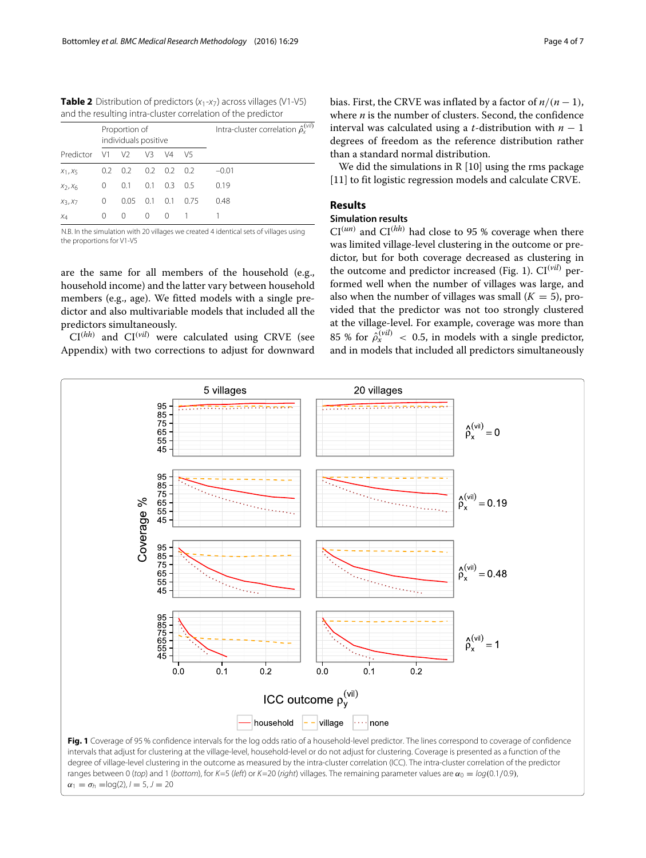<span id="page-3-0"></span>**Table 2** Distribution of predictors  $(x_1 - x_7)$  across villages (V1-V5) and the resulting intra-cluster correlation of the predictor

|                                 | Proportion of<br>individuals positive |                 |          |                 |       | Intra-cluster correlation $\hat{\rho}_x^{(vil)}$ |
|---------------------------------|---------------------------------------|-----------------|----------|-----------------|-------|--------------------------------------------------|
| Predictor V1                    |                                       | V <sub>2</sub>  | V3       | $\sqrt{4}$      | V5    |                                                  |
| $X_1, X_5$                      |                                       | $0.2 \quad 0.2$ |          | $0.2 \quad 0.2$ | - 0.2 | $-0.01$                                          |
| X <sub>2</sub> , X <sub>6</sub> | 0                                     | 0.1             | 0.1      | 0.3             | 05    | 0.19                                             |
| $X_3, X_7$                      | $\left($                              | 0.05            | 0.1      | 0.1             | 0.75  | 0.48                                             |
| $X_4$                           | 0                                     | 0               | $\Omega$ | - 0             |       |                                                  |

N.B. In the simulation with 20 villages we created 4 identical sets of villages using the proportions for V1-V5

are the same for all members of the household (e.g., household income) and the latter vary between household members (e.g., age). We fitted models with a single predictor and also multivariable models that included all the predictors simultaneously.

 $CI^{(hh)}$  and  $CI^{(vil)}$  were calculated using CRVE (see Appendix) with two corrections to adjust for downward

We did the simulations in R [\[10\]](#page-6-9) using the rms package [\[11\]](#page-6-10) to fit logistic regression models and calculate CRVE.

## **Results**

# **Simulation results**

 $CI<sup>(un)</sup>$  and  $CI<sup>(hh)</sup>$  had close to 95 % coverage when there was limited village-level clustering in the outcome or predictor, but for both coverage decreased as clustering in the outcome and predictor increased (Fig. [1\)](#page-3-1). CI(*vil*) performed well when the number of villages was large, and also when the number of villages was small  $(K = 5)$ , provided that the predictor was not too strongly clustered at the village-level. For example, coverage was more than 85 % for  $\hat{\rho}_x^{(vil)}$  < 0.5, in models with a single predictor, and in models that included all predictors simultaneously

<span id="page-3-1"></span>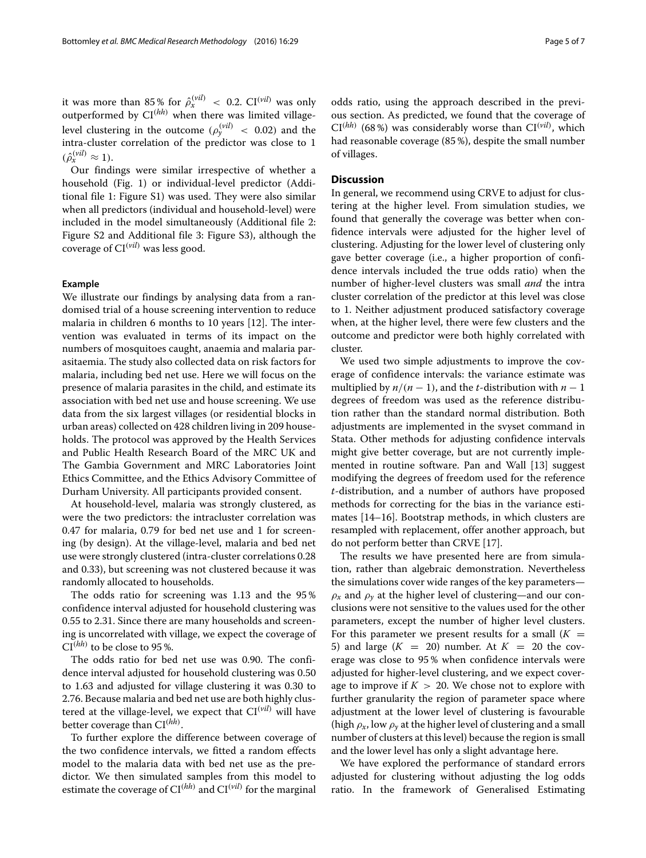it was more than 85% for  $\hat{\rho}_x^{(vil)} \leq 0.2$ . CI<sup>(*vil*)</sup> was only outperformed by  $CI<sup>(hh)</sup>$  when there was limited villagelevel clustering in the outcome  $(\rho_{y}^{(vil)}\ <\ 0.02)$  and the intra-cluster correlation of the predictor was close to 1  $(\hat{\rho}_x^{(vil)} \approx 1).$ 

Our findings were similar irrespective of whether a household (Fig. [1\)](#page-3-1) or individual-level predictor (Additional file [1:](#page-5-0) Figure S1) was used. They were also similar when all predictors (individual and household-level) were included in the model simultaneously (Additional file [2:](#page-5-1) Figure S2 and Additional file [3:](#page-5-2) Figure S3), although the coverage of  $CI<sup>(vil)</sup>$  was less good.

## **Example**

We illustrate our findings by analysing data from a randomised trial of a house screening intervention to reduce malaria in children 6 months to 10 years [\[12\]](#page-6-11). The intervention was evaluated in terms of its impact on the numbers of mosquitoes caught, anaemia and malaria parasitaemia. The study also collected data on risk factors for malaria, including bed net use. Here we will focus on the presence of malaria parasites in the child, and estimate its association with bed net use and house screening. We use data from the six largest villages (or residential blocks in urban areas) collected on 428 children living in 209 households. The protocol was approved by the Health Services and Public Health Research Board of the MRC UK and The Gambia Government and MRC Laboratories Joint Ethics Committee, and the Ethics Advisory Committee of Durham University. All participants provided consent.

At household-level, malaria was strongly clustered, as were the two predictors: the intracluster correlation was 0.47 for malaria, 0.79 for bed net use and 1 for screening (by design). At the village-level, malaria and bed net use were strongly clustered (intra-cluster correlations 0.28 and 0.33), but screening was not clustered because it was randomly allocated to households.

The odds ratio for screening was 1.13 and the 95 % confidence interval adjusted for household clustering was 0.55 to 2.31. Since there are many households and screening is uncorrelated with village, we expect the coverage of  $CI^{(hh)}$  to be close to 95 %.

The odds ratio for bed net use was 0.90. The confidence interval adjusted for household clustering was 0.50 to 1.63 and adjusted for village clustering it was 0.30 to 2.76. Because malaria and bed net use are both highly clustered at the village-level, we expect that  $CI<sup>(vil)</sup>$  will have better coverage than CI(*hh*) .

To further explore the difference between coverage of the two confidence intervals, we fitted a random effects model to the malaria data with bed net use as the predictor. We then simulated samples from this model to estimate the coverage of  $CI<sup>(hh)</sup>$  and  $CI<sup>(vil)</sup>$  for the marginal

odds ratio, using the approach described in the previous section. As predicted, we found that the coverage of  $CI^{(hh)}$  (68%) was considerably worse than  $CI^{(vil)}$ , which had reasonable coverage (85 %), despite the small number of villages.

#### **Discussion**

In general, we recommend using CRVE to adjust for clustering at the higher level. From simulation studies, we found that generally the coverage was better when confidence intervals were adjusted for the higher level of clustering. Adjusting for the lower level of clustering only gave better coverage (i.e., a higher proportion of confidence intervals included the true odds ratio) when the number of higher-level clusters was small *and* the intra cluster correlation of the predictor at this level was close to 1. Neither adjustment produced satisfactory coverage when, at the higher level, there were few clusters and the outcome and predictor were both highly correlated with cluster.

We used two simple adjustments to improve the coverage of confidence intervals: the variance estimate was multiplied by  $n/(n-1)$ , and the *t*-distribution with  $n-1$ degrees of freedom was used as the reference distribution rather than the standard normal distribution. Both adjustments are implemented in the svyset command in Stata. Other methods for adjusting confidence intervals might give better coverage, but are not currently implemented in routine software. Pan and Wall [\[13\]](#page-6-12) suggest modifying the degrees of freedom used for the reference *t*-distribution, and a number of authors have proposed methods for correcting for the bias in the variance estimates [\[14](#page-6-13)[–16\]](#page-6-14). Bootstrap methods, in which clusters are resampled with replacement, offer another approach, but do not perform better than CRVE [\[17\]](#page-6-15).

The results we have presented here are from simulation, rather than algebraic demonstration. Nevertheless the simulations cover wide ranges of the key parameters—  $\rho_x$  and  $\rho_y$  at the higher level of clustering—and our conclusions were not sensitive to the values used for the other parameters, except the number of higher level clusters. For this parameter we present results for a small  $(K =$ 5) and large  $(K = 20)$  number. At  $K = 20$  the coverage was close to 95 % when confidence intervals were adjusted for higher-level clustering, and we expect coverage to improve if  $K > 20$ . We chose not to explore with further granularity the region of parameter space where adjustment at the lower level of clustering is favourable (high  $\rho_x$ , low  $\rho_y$  at the higher level of clustering and a small number of clusters at this level) because the region is small and the lower level has only a slight advantage here.

We have explored the performance of standard errors adjusted for clustering without adjusting the log odds ratio. In the framework of Generalised Estimating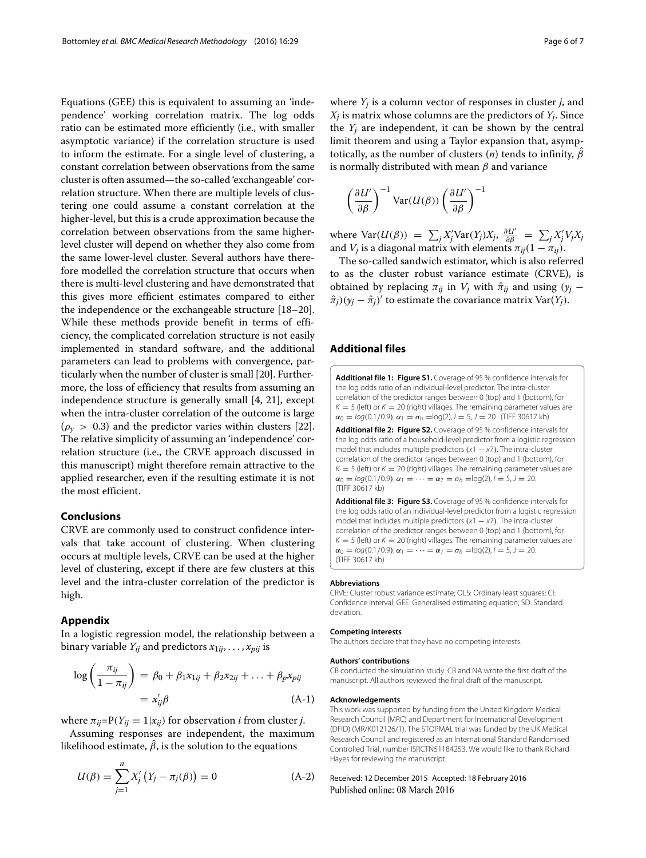Equations (GEE) this is equivalent to assuming an 'independence' working correlation matrix. The log odds ratio can be estimated more efficiently (i.e., with smaller asymptotic variance) if the correlation structure is used to inform the estimate. For a single level of clustering, a constant correlation between observations from the same cluster is often assumed—the so-called 'exchangeable' correlation structure. When there are multiple levels of clustering one could assume a constant correlation at the higher-level, but this is a crude approximation because the correlation between observations from the same higherlevel cluster will depend on whether they also come from the same lower-level cluster. Several authors have therefore modelled the correlation structure that occurs when there is multi-level clustering and have demonstrated that this gives more efficient estimates compared to either the independence or the exchangeable structure [\[18–](#page-6-16)[20\]](#page-6-17). While these methods provide benefit in terms of efficiency, the complicated correlation structure is not easily implemented in standard software, and the additional parameters can lead to problems with convergence, particularly when the number of cluster is small [\[20\]](#page-6-17). Furthermore, the loss of efficiency that results from assuming an independence structure is generally small [\[4,](#page-6-3) [21\]](#page-6-18), except when the intra-cluster correlation of the outcome is large  $(\rho_{\nu} > 0.3)$  and the predictor varies within clusters [\[22\]](#page-6-19). The relative simplicity of assuming an 'independence' correlation structure (i.e., the CRVE approach discussed in this manuscript) might therefore remain attractive to the applied researcher, even if the resulting estimate it is not the most efficient.

## **Conclusions**

CRVE are commonly used to construct confidence intervals that take account of clustering. When clustering occurs at multiple levels, CRVE can be used at the higher level of clustering, except if there are few clusters at this level and the intra-cluster correlation of the predictor is high.

## **Appendix**

In a logistic regression model, the relationship between a binary variable  $Y_{ij}$  and predictors  $x_{1ij}, \ldots, x_{pi}$  is

$$
\log\left(\frac{\pi_{ij}}{1-\pi_{ij}}\right) = \beta_0 + \beta_1 x_{1ij} + \beta_2 x_{2ij} + \ldots + \beta_p x_{pij}
$$

$$
= x'_{ij}\beta \tag{A-1}
$$

where  $\pi_{ij} = P(Y_{ij} = 1 | x_{ij})$  for observation *i* from cluster *j*.

Assuming responses are independent, the maximum likelihood estimate,  $\hat{\beta}$ , is the solution to the equations

$$
U(\beta) = \sum_{j=1}^{n} X'_j (Y_j - \pi_j(\beta)) = 0
$$
 (A-2)

where *Yj* is a column vector of responses in cluster *j*, and *Xj* is matrix whose columns are the predictors of *Yj*. Since the  $Y_i$  are independent, it can be shown by the central limit theorem and using a Taylor expansion that, asymptotically, as the number of clusters  $(n)$  tends to infinity,  $\hat{\beta}$ is normally distributed with mean  $\beta$  and variance

$$
\left(\frac{\partial U'}{\partial \beta}\right)^{-1} \text{Var}(U(\beta)) \left(\frac{\partial U'}{\partial \beta}\right)^{-1}
$$

where  $\text{Var}(U(\beta)) = \sum_j X'_j \text{Var}(Y_j) X_j$ ,  $\frac{\partial U'}{\partial \beta} = \sum_j X'_j V_j X_j$ and  $V_j$  is a diagonal matrix with elements  $\pi_{ij}(1-\pi_{ij})$ .

The so-called sandwich estimator, which is also referred to as the cluster robust variance estimate (CRVE), is obtained by replacing  $\pi_{ij}$  in  $V_j$  with  $\hat{\pi}_{ij}$  and using  $(y_j \hat{\pi}_j(y_j - \hat{\pi}_j)'$  to estimate the covariance matrix Var(*Y<sub>j</sub>*).

#### **Additional files**

<span id="page-5-1"></span><span id="page-5-0"></span>**[Additional file 1:](http://dx.doi.org/10.1186/s12874-016-0127-1) [Figure S1.](http://dx.doi.org/10.1186/s12874-016-0127-1tiff)** Coverage of 95 % confidence intervals for the log odds ratio of an individual-level predictor. The intra-cluster correlation of the predictor ranges between 0 (top) and 1 (bottom), for  $K = 5$  (left) or  $K = 20$  (right) villages. The remaining parameter values are  $\alpha_0 = \log(0.1/0.9), \alpha_1 = \sigma_h = \log(2), l = 5, J = 20$ . (TIFF 30617 kb) **[Additional file 2:](http://dx.doi.org/10.1186/s12874-016-0127-1) [Figure S2.](http://dx.doi.org/10.1186/s12874-016-0127-1tiff)** Coverage of 95 % confidence intervals for the log odds ratio of a household-level predictor from a logistic regression model that includes multiple predictors  $(x1 - x7)$ . The intra-cluster correlation of the predictor ranges between 0 (top) and 1 (bottom), for  $K = 5$  (left) or  $K = 20$  (right) villages. The remaining parameter values are  $\alpha_0 = \log(0.1/0.9), \alpha_1 = \cdots = \alpha_7 = \sigma_h = \log(2), l = 5, J = 20.$ (TIFF 30617 kb)

<span id="page-5-2"></span>**[Additional file 3:](http://dx.doi.org/10.1186/s12874-016-0127-1) [Figure S3.](http://dx.doi.org/10.1186/s12874-016-0127-1tiff)** Coverage of 95 % confidence intervals for the log odds ratio of an individual-level predictor from a logistic regression model that includes multiple predictors  $(x1 - x7)$ . The intra-cluster correlation of the predictor ranges between 0 (top) and 1 (bottom), for  $K = 5$  (left) or  $K = 20$  (right) villages. The remaining parameter values are  $\alpha_0 = \log(0.1/0.9), \alpha_1 = \cdots = \alpha_7 = \sigma_h = \log(2), l = 5, J = 20.$ (TIFF 30617 kb)

#### **Abbreviations**

CRVE: Cluster robust variance estimate; OLS: Ordinary least squares; CI: Confidence interval; GEE: Generalised estimating equation; SD: Standard deviation.

#### **Competing interests**

The authors declare that they have no competing interests.

#### **Authors' contributions**

CB conducted the simulation study. CB and NA wrote the first draft of the manuscript. All authors reviewed the final draft of the manuscript.

#### **Acknowledgements**

This work was supported by funding from the United Kingdom Medical Research Council (MRC) and Department for International Development (DFID) (MR/K012126/1). The STOPMAL trial was funded by the UK Medical Research Council and registered as an International Standard Randomised Controlled Trial, number ISRCTN51184253. We would like to thank Richard Hayes for reviewing the manuscript.

#### Received: 12 December 2015 Accepted: 18 February 2016Published online: 08 March 2016